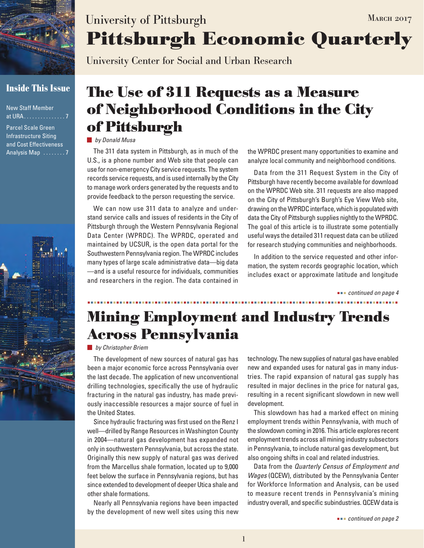

# **Inside This Issue**

New Staff Member at URA . . . . . . . . . . . . . . 7

Parcel Scale Green Infrastructure Siting and Cost Effectiveness Analysis Map  $\dots \dots 7'$ 



# **Pittsburgh Economic Quarterly** University of Pittsburgh MARCH 2017

University Center for Social and Urban Research

# **The Use of 311 Requests as a Measure of Neighborhood Conditions in the City of Pittsburgh**

#### *by Donald Musa*

The 311 data system in Pittsburgh, as in much of the U.S., is a phone number and Web site that people can use for non-emergency City service requests. The system records service requests, and is used internally by the City to manage work orders generated by the requests and to provide feedback to the person requesting the service.

We can now use 311 data to analyze and understand service calls and issues of residents in the City of Pittsburgh through the Western Pennsylvania Regional Data Center (WPRDC). The WPRDC, operated and maintained by UCSUR, is the open data portal for the Southwestern Pennsylvania region. The WPRDC includes many types of large scale administrative data—big data —and is a useful resource for individuals, communities and researchers in the region. The data contained in the WPRDC present many opportunities to examine and analyze local community and neighborhood conditions.

Data from the 311 Request System in the City of Pittsburgh have recently become available for download on the WPRDC Web site. 311 requests are also mapped on the City of Pittsburgh's Burgh's Eye View Web site, drawing on the WPRDC interface, which is populated with data the City of Pittsburgh supplies nightly to the WPRDC. The goal of this article is to illustrate some potentially useful ways the detailed 311 request data can be utilized for research studying communities and neighborhoods.

In addition to the service requested and other information, the system records geographic location, which includes exact or approximate latitude and longitude

 *continued on page 4*

# **Mining Employment and Industry Trends Across Pennsylvania**

*by Christopher Briem*

The development of new sources of natural gas has been a major economic force across Pennsylvania over the last decade. The application of new unconventional drilling technologies, specifically the use of hydraulic fracturing in the natural gas industry, has made previously inaccessible resources a major source of fuel in the United States.

Since hydraulic fracturing was first used on the Renz I well—drilled by Range Resources in Washington County in 2004—natural gas development has expanded not only in southwestern Pennsylvania, but across the state. Originally this new supply of natural gas was derived from the Marcellus shale formation, located up to 9,000 feet below the surface in Pennsylvania regions, but has since extended to development of deeper Utica shale and other shale formations.

Nearly all Pennsylvania regions have been impacted by the development of new well sites using this new technology. The new supplies of natural gas have enabled new and expanded uses for natural gas in many industries. The rapid expansion of natural gas supply has resulted in major declines in the price for natural gas, resulting in a recent significant slowdown in new well development.

This slowdown has had a marked effect on mining employment trends within Pennsylvania, with much of the slowdown coming in 2016. This article explores recent employment trends across all mining industry subsectors in Pennsylvania, to include natural gas development, but also ongoing shifts in coal and related industries.

Data from the *Quarterly Census of Employment and Wages* (QCEW), distributed by the Pennsylvania Center for Workforce Information and Analysis, can be used to measure recent trends in Pennsylvania's mining industry overall, and specific subindustries. QCEW data is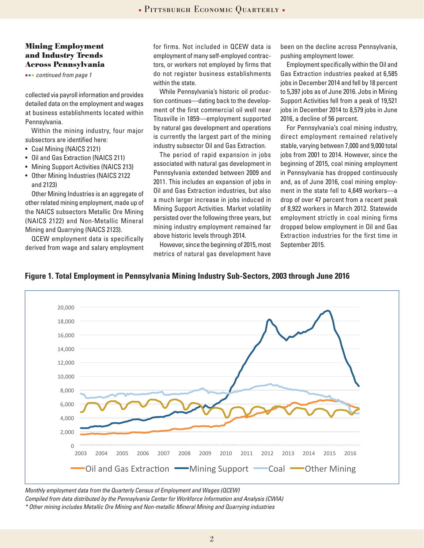### **Mining Employment and Industry Trends Across Pennsylvania**

 *continued from page 1*

collected via payroll information and provides detailed data on the employment and wages at business establishments located within Pennsylvania.

Within the mining industry, four major subsectors are identified here:

- Coal Mining (NAICS 2121)
- Oil and Gas Extraction (NAICS 211)
- Mining Support Activities (NAICS 213)
- Other Mining Industries (NAICS 2122 and 2123)

Other Mining Industries is an aggregate of other related mining employment, made up of the NAICS subsectors Metallic Ore Mining (NAICS 2122) and Non-Metallic Mineral Mining and Quarrying (NAICS 2123).

QCEW employment data is specifically derived from wage and salary employment for firms. Not included in QCEW data is employment of many self-employed contractors, or workers not employed by firms that do not register business establishments within the state.

While Pennsylvania's historic oil production continues—dating back to the development of the first commercial oil well near Titusville in 1859—employment supported by natural gas development and operations is currently the largest part of the mining industry subsector Oil and Gas Extraction.

The period of rapid expansion in jobs associated with natural gas development in Pennsylvania extended between 2009 and 2011. This includes an expansion of jobs in Oil and Gas Extraction industries, but also a much larger increase in jobs induced in Mining Support Activities. Market volatility persisted over the following three years, but mining industry employment remained far above historic levels through 2014.

However, since the beginning of 2015, most metrics of natural gas development have

been on the decline across Pennsylvania, pushing employment lower.

Employment specifically within the Oil and Gas Extraction industries peaked at 6,585 jobs in December 2014 and fell by 18 percent to 5,397 jobs as of June 2016. Jobs in Mining Support Activities fell from a peak of 19,521 jobs in December 2014 to 8,579 jobs in June 2016, a decline of 56 percent.

For Pennsylvania's coal mining industry, direct employment remained relatively stable, varying between 7,000 and 9,000 total jobs from 2001 to 2014. However, since the beginning of 2015, coal mining employment in Pennsylvania has dropped continuously and, as of June 2016, coal mining employment in the state fell to 4,649 workers—a drop of over 47 percent from a recent peak of 8,922 workers in March 2012. Statewide employment strictly in coal mining firms dropped below employment in Oil and Gas Extraction industries for the first time in September 2015.

**Figure 1. Total Employment in Pennsylvania Mining Industry Sub-Sectors, 2003 through June 2016**



Monthly employment data from the Quarterly Census of Employment and Wages (QCEW)

monthly employment eata from the diarrerry conclusion Employment and Vragoc (2021).<br>Compiled from data distributed by the Pennsylvania Center for Workforce Information and Analysis (CWIA)

oompication and distributed by the Fermsylvania bence for Workforce information and Anarysis (bwiki)<br>\* Other mining includes Metallic Ore Mining and Non-metallic Mineral Mining and Quarrying industries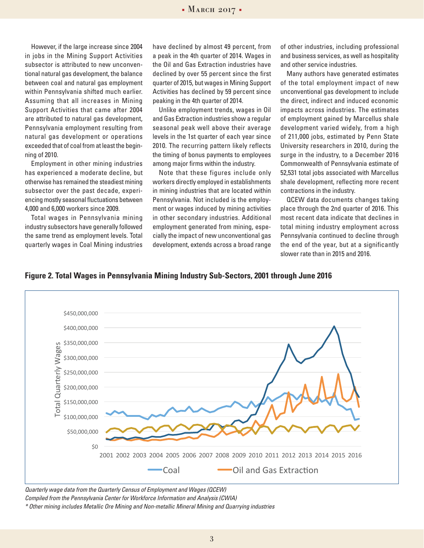However, if the large increase since 2004 in jobs in the Mining Support Activities subsector is attributed to new unconventional natural gas development, the balance between coal and natural gas employment within Pennsylvania shifted much earlier. Assuming that all increases in Mining Support Activities that came after 2004 are attributed to natural gas development, Pennsylvania employment resulting from natural gas development or operations exceeded that of coal from at least the beginning of 2010.

Employment in other mining industries has experienced a moderate decline, but otherwise has remained the steadiest mining subsector over the past decade, experiencing mostly seasonal fluctuations between 4,000 and 6,000 workers since 2009.

Total wages in Pennsylvania mining industry subsectors have generally followed the same trend as employment levels. Total quarterly wages in Coal Mining industries have declined by almost 49 percent, from a peak in the 4th quarter of 2014. Wages in the Oil and Gas Extraction industries have declined by over 55 percent since the first quarter of 2015, but wages in Mining Support Activities has declined by 59 percent since peaking in the 4th quarter of 2014.

Unlike employment trends, wages in Oil and Gas Extraction industries show a regular seasonal peak well above their average levels in the 1st quarter of each year since 2010. The recurring pattern likely reflects the timing of bonus payments to employees among major firms within the industry.

Note that these figures include only workers directly employed in establishments in mining industries that are located within Pennsylvania. Not included is the employment or wages induced by mining activities in other secondary industries. Additional employment generated from mining, especially the impact of new unconventional gas development, extends across a broad range

of other industries, including professional and business services, as well as hospitality and other service industries.

Many authors have generated estimates of the total employment impact of new unconventional gas development to include the direct, indirect and induced economic impacts across industries. The estimates of employment gained by Marcellus shale development varied widely, from a high of 211,000 jobs, estimated by Penn State University researchers in 2010, during the surge in the industry, to a December 2016 Commonwealth of Pennsylvania estimate of 52,531 total jobs associated with Marcellus shale development, reflecting more recent contractions in the industry.

QCEW data documents changes taking place through the 2nd quarter of 2016. This most recent data indicate that declines in total mining industry employment across Pennsylvania continued to decline through the end of the year, but at a significantly slower rate than in 2015 and 2016.

**Figure 2. Total Wages in Pennsylvania Mining Industry Sub-Sectors, 2001 through June 2016**



*Quarterly wage data from the Quarterly Census of Employment and Wages (QCEW)* 

Compiled from the Pennsylvania Center for Workforce Information and Analysis (CWIA)

\* Other mining includes Metallic Ore Mining and Non-metallic Mineral Mining and Quarrying industries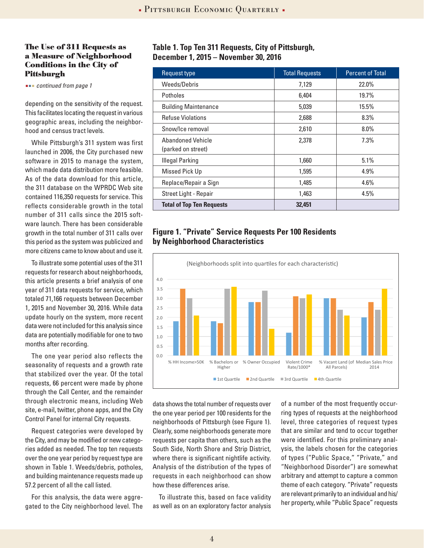#### **The Use of 311 Requests as a Measure of Neighborhood Conditions in the City of Pittsburgh**

 *continued from page 1*

depending on the sensitivity of the request. This facilitates locating the request in various geographic areas, including the neighborhood and census tract levels.

While Pittsburgh's 311 system was first launched in 2006, the City purchased new software in 2015 to manage the system, which made data distribution more feasible. As of the data download for this article, the 311 database on the WPRDC Web site contained 116,350 requests for service. This reflects considerable growth in the total number of 311 calls since the 2015 software launch. There has been considerable growth in the total number of 311 calls over this period as the system was publicized and more citizens came to know about and use it.

To illustrate some potential uses of the 311 requests for research about neighborhoods, this article presents a brief analysis of one year of 311 data requests for service, which totaled 71,166 requests between December 1, 2015 and November 30, 2016. While data update hourly on the system, more recent data were not included for this analysis since data are potentially modifiable for one to two months after recording.

The one year period also reflects the seasonality of requests and a growth rate that stabilized over the year. Of the total requests, 66 percent were made by phone through the Call Center, and the remainder through electronic means, including Web site, e-mail, twitter, phone apps, and the City Control Panel for internal City requests.

Request categories were developed by the City, and may be modified or new categories added as needed. The top ten requests over the one year period by request type are shown in Table 1. Weeds/debris, potholes, and building maintenance requests made up 57.2 percent of all the call listed.

For this analysis, the data were aggregated to the City neighborhood level. The

# **Table 1. Top Ten 311 Requests, City of Pittsburgh, December 1, 2015 – November 30, 2016**

| Request type                     | <b>Total Requests</b> | <b>Percent of Total</b> |
|----------------------------------|-----------------------|-------------------------|
| Weeds/Debris                     | 7,129                 | 22.0%                   |
| Potholes                         | 6,404                 | 19.7%                   |
| <b>Building Maintenance</b>      | 5,039                 | 15.5%                   |
| <b>Refuse Violations</b>         | 2,688                 | 8.3%                    |
| Snow/Ice removal                 | 2,610                 | $8.0\%$                 |
| Abandoned Vehicle                | 2,378                 | 7.3%                    |
| (parked on street)               |                       |                         |
| <b>Illegal Parking</b>           | 1,660                 | 5.1%                    |
| Missed Pick Up                   | 1,595                 | 4.9%                    |
| Replace/Repair a Sign            | 1,485                 | 4.6%                    |
| Street Light - Repair            | 1,463                 | 4.5%                    |
| <b>Total of Top Ten Requests</b> | 32,451                |                         |

# **Figure 1. "Private" Service Requests Per 100 Residents by Neighborhood Characteristics**



data shows the total number of requests over the one year period per 100 residents for the neighborhoods of Pittsburgh (see Figure 1). Clearly, some neighborhoods generate more requests per capita than others, such as the South Side, North Shore and Strip District, where there is significant nightlife activity. Analysis of the distribution of the types of requests in each neighborhood can show how these differences arise.

To illustrate this, based on face validity as well as on an exploratory factor analysis

of a number of the most frequently occurring types of requests at the neighborhood level, three categories of request types that are similar and tend to occur together were identified. For this preliminary analysis, the labels chosen for the categories of types ("Public Space," "Private," and "Neighborhood Disorder") are somewhat arbitrary and attempt to capture a common theme of each category. "Private" requests are relevant primarily to an individual and his/ her property, while "Public Space" requests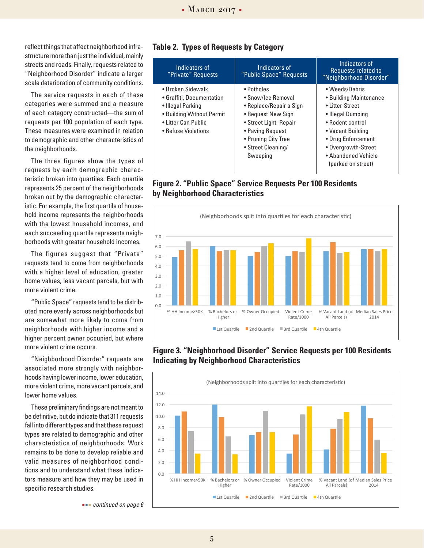reflect things that affect neighborhood infrastructure more than just the individual, mainly streets and roads. Finally, requests related to "Neighborhood Disorder" indicate a larger scale deterioration of community conditions.

The service requests in each of these categories were summed and a measure of each category constructed—the sum of requests per 100 population of each type. These measures were examined in relation to demographic and other characteristics of the neighborhoods.

The three figures show the types of requests by each demographic characteristic broken into quartiles. Each quartile represents 25 percent of the neighborhoods broken out by the demographic characteristic. For example, the first quartile of household income represents the neighborhoods with the lowest household incomes, and each succeeding quartile represents neighborhoods with greater household incomes.

The figures suggest that "Private" requests tend to come from neighborhoods with a higher level of education, greater home values, less vacant parcels, but with more violent crime.

"Public Space" requests tend to be distributed more evenly across neighborhoods but are somewhat more likely to come from neighborhoods with higher income and a higher percent owner occupied, but where more violent crime occurs.

"Neighborhood Disorder" requests are associated more strongly with neighborhoods having lower income, lower education, more violent crime, more vacant parcels, and lower home values.

These preliminary findings are not meant to be definitive, but do indicate that 311 requests fall into different types and that these request types are related to demographic and other characteristics of neighborhoods. Work remains to be done to develop reliable and valid measures of neighborhood conditions and to understand what these indicators measure and how they may be used in specific research studies.

| Indicators of<br>"Private" Requests                                                                                                            | Indicators of<br>"Public Space" Requests                                                                                                                                                | Indicators of<br>Requests related to<br>"Neighborhood Disorder"                                                                                                                               |
|------------------------------------------------------------------------------------------------------------------------------------------------|-----------------------------------------------------------------------------------------------------------------------------------------------------------------------------------------|-----------------------------------------------------------------------------------------------------------------------------------------------------------------------------------------------|
| • Broken Sidewalk<br>• Graffiti, Documentation<br>• Illegal Parking<br>• Building Without Permit<br>• Litter Can Public<br>• Refuse Violations | • Potholes<br>• Snow/Ice Removal<br>• Replace/Repair a Sign<br>• Request New Sign<br>• Street Light-Repair<br>• Paving Request<br>• Pruning City Tree<br>• Street Cleaning/<br>Sweeping | • Weeds/Debris<br>• Building Maintenance<br>• Litter-Street<br>• Illegal Dumping<br>• Rodent control<br>• Vacant Building<br>• Drug Enforcement<br>• Overgrowth-Street<br>• Abandoned Vehicle |

(parked on street)

#### **Table 2. Types of Requests by Category**

## **Figure 2. "Public Space" Service Requests Per 100 Residents by Neighborhood Characteristics**



### **Figure 3. "Neighborhood Disorder" Service Requests per 100 Residents Indicating by Neighborhood Characteristics**



 *continued on page 6*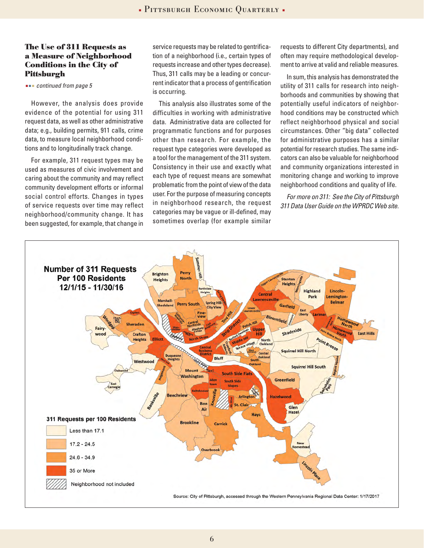#### **The Use of 311 Requests as a Measure of Neighborhood Conditions in the City of Pittsburgh**

 *continued from page 5*

However, the analysis does provide evidence of the potential for using 311 request data, as well as other administrative data; e.g., building permits, 911 calls, crime data, to measure local neighborhood conditions and to longitudinally track change.

For example, 311 request types may be used as measures of civic involvement and caring about the community and may reflect community development efforts or informal social control efforts. Changes in types of service requests over time may reflect neighborhood/community change. It has been suggested, for example, that change in service requests may be related to gentrification of a neighborhood (i.e., certain types of requests increase and other types decrease). Thus, 311 calls may be a leading or concurrent indicator that a process of gentrification is occurring.

This analysis also illustrates some of the difficulties in working with administrative data. Administrative data are collected for programmatic functions and for purposes other than research. For example, the request type categories were developed as a tool for the management of the 311 system. Consistency in their use and exactly what each type of request means are somewhat problematic from the point of view of the data user. For the purpose of measuring concepts in neighborhood research, the request categories may be vague or ill-defined, may sometimes overlap (for example similar

requests to different City departments), and often may require methodological development to arrive at valid and reliable measures.

In sum, this analysis has demonstrated the utility of 311 calls for research into neighborhoods and communities by showing that potentially useful indicators of neighborhood conditions may be constructed which reflect neighborhood physical and social circumstances. Other "big data" collected for administrative purposes has a similar potential for research studies. The same indicators can also be valuable for neighborhood and community organizations interested in monitoring change and working to improve neighborhood conditions and quality of life.

*For more on 311: See the City of Pittsburgh 311 Data User Guide on the WPRDC Web site.*

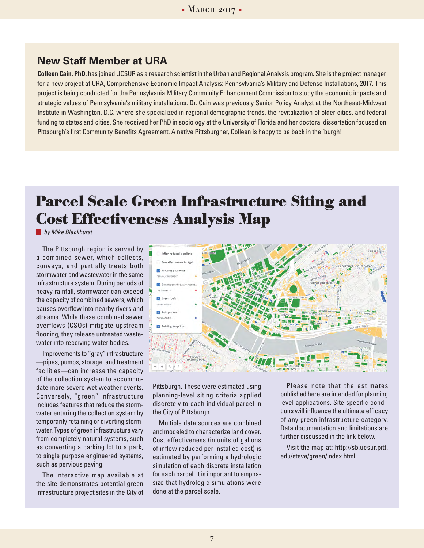# **New Staff Member at URA**

**Colleen Cain, PhD**, has joined UCSUR as a research scientist in the Urban and Regional Analysis program. She is the project manager for a new project at URA, Comprehensive Economic Impact Analysis: Pennsylvania's Military and Defense Installations, 2017. This project is being conducted for the Pennsylvania Military Community Enhancement Commission to study the economic impacts and strategic values of Pennsylvania's military installations. Dr. Cain was previously Senior Policy Analyst at the Northeast-Midwest Institute in Washington, D.C. where she specialized in regional demographic trends, the revitalization of older cities, and federal funding to states and cities. She received her PhD in sociology at the University of Florida and her doctoral dissertation focused on Pittsburgh's first Community Benefits Agreement. A native Pittsburgher, Colleen is happy to be back in the 'burgh!

# **Parcel Scale Green Infrastructure Siting and Cost Effectiveness Analysis Map**

*by Mike Blackhurst*

The Pittsburgh region is served by a combined sewer, which collects, conveys, and partially treats both stormwater and wastewater in the same infrastructure system. During periods of heavy rainfall, stormwater can exceed the capacity of combined sewers, which causes overflow into nearby rivers and streams. While these combined sewer overflows (CSOs) mitigate upstream flooding, they release untreated wastewater into receiving water bodies.

Improvements to "gray" infrastructure —pipes, pumps, storage, and treatment facilities—can increase the capacity of the collection system to accommodate more severe wet weather events. Conversely, "green" infrastructure includes features that reduce the stormwater entering the collection system by temporarily retaining or diverting stormwater. Types of green infrastructure vary from completely natural systems, such as converting a parking lot to a park, to single purpose engineered systems, such as pervious paving.

The interactive map available at the site demonstrates potential green infrastructure project sites in the City of



Pittsburgh. These were estimated using planning-level siting criteria applied discretely to each individual parcel in the City of Pittsburgh.

Multiple data sources are combined and modeled to characterize land cover. Cost effectiveness (in units of gallons of inflow reduced per installed cost) is estimated by performing a hydrologic simulation of each discrete installation for each parcel. It is important to emphasize that hydrologic simulations were done at the parcel scale.

Please note that the estimates published here are intended for planning level applications. Site specific conditions will influence the ultimate efficacy of any green infrastructure category. Data documentation and limitations are further discussed in the link below.

Visit the map at: http://sb.ucsur.pitt. edu/steve/green/index.html